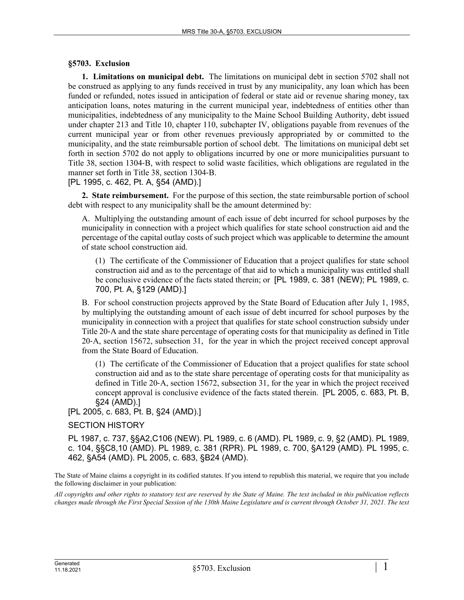## **§5703. Exclusion**

**1. Limitations on municipal debt.** The limitations on municipal debt in section 5702 shall not be construed as applying to any funds received in trust by any municipality, any loan which has been funded or refunded, notes issued in anticipation of federal or state aid or revenue sharing money, tax anticipation loans, notes maturing in the current municipal year, indebtedness of entities other than municipalities, indebtedness of any municipality to the Maine School Building Authority, debt issued under chapter 213 and Title 10, chapter 110, subchapter IV, obligations payable from revenues of the current municipal year or from other revenues previously appropriated by or committed to the municipality, and the state reimbursable portion of school debt. The limitations on municipal debt set forth in section 5702 do not apply to obligations incurred by one or more municipalities pursuant to Title 38, section 1304‑B, with respect to solid waste facilities, which obligations are regulated in the manner set forth in Title 38, section 1304‑B.

[PL 1995, c. 462, Pt. A, §54 (AMD).]

**2. State reimbursement.** For the purpose of this section, the state reimbursable portion of school debt with respect to any municipality shall be the amount determined by:

A. Multiplying the outstanding amount of each issue of debt incurred for school purposes by the municipality in connection with a project which qualifies for state school construction aid and the percentage of the capital outlay costs of such project which was applicable to determine the amount of state school construction aid.

(1) The certificate of the Commissioner of Education that a project qualifies for state school construction aid and as to the percentage of that aid to which a municipality was entitled shall be conclusive evidence of the facts stated therein; or [PL 1989, c. 381 (NEW); PL 1989, c. 700, Pt. A, §129 (AMD).]

B. For school construction projects approved by the State Board of Education after July 1, 1985, by multiplying the outstanding amount of each issue of debt incurred for school purposes by the municipality in connection with a project that qualifies for state school construction subsidy under Title 20‑A and the state share percentage of operating costs for that municipality as defined in Title 20‑A, section 15672, subsection 31, for the year in which the project received concept approval from the State Board of Education.

(1) The certificate of the Commissioner of Education that a project qualifies for state school construction aid and as to the state share percentage of operating costs for that municipality as defined in Title 20‑A, section 15672, subsection 31, for the year in which the project received concept approval is conclusive evidence of the facts stated therein. [PL 2005, c. 683, Pt. B, §24 (AMD).]

[PL 2005, c. 683, Pt. B, §24 (AMD).]

## SECTION HISTORY

PL 1987, c. 737, §§A2,C106 (NEW). PL 1989, c. 6 (AMD). PL 1989, c. 9, §2 (AMD). PL 1989, c. 104, §§C8,10 (AMD). PL 1989, c. 381 (RPR). PL 1989, c. 700, §A129 (AMD). PL 1995, c. 462, §A54 (AMD). PL 2005, c. 683, §B24 (AMD).

The State of Maine claims a copyright in its codified statutes. If you intend to republish this material, we require that you include the following disclaimer in your publication:

*All copyrights and other rights to statutory text are reserved by the State of Maine. The text included in this publication reflects changes made through the First Special Session of the 130th Maine Legislature and is current through October 31, 2021. The text*